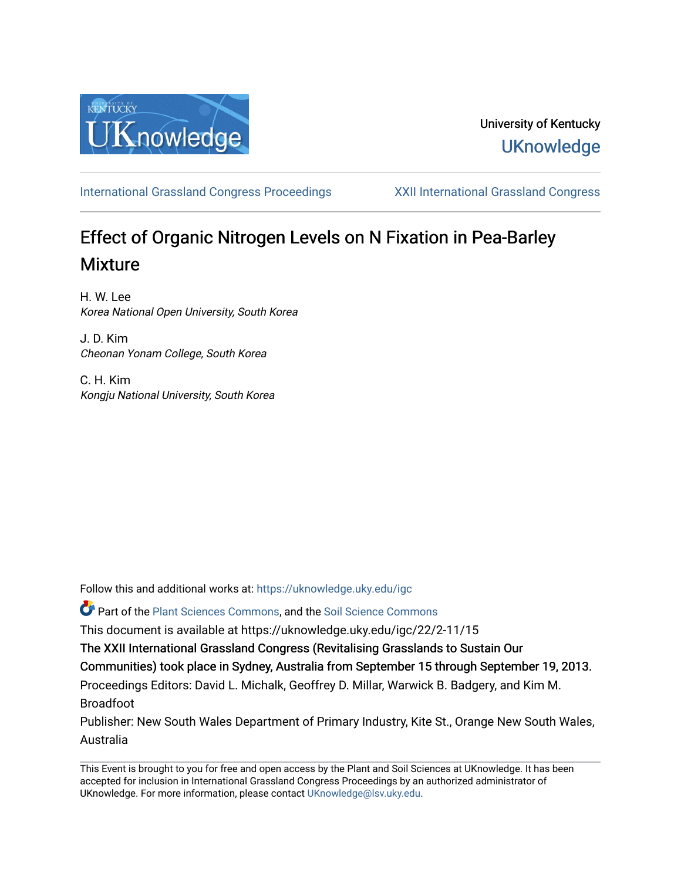

## University of Kentucky **UKnowledge**

[International Grassland Congress Proceedings](https://uknowledge.uky.edu/igc) [XXII International Grassland Congress](https://uknowledge.uky.edu/igc/22) 

# Effect of Organic Nitrogen Levels on N Fixation in Pea-Barley Mixture

H. W. Lee Korea National Open University, South Korea

J. D. Kim Cheonan Yonam College, South Korea

C. H. Kim Kongju National University, South Korea

Follow this and additional works at: [https://uknowledge.uky.edu/igc](https://uknowledge.uky.edu/igc?utm_source=uknowledge.uky.edu%2Figc%2F22%2F2-11%2F15&utm_medium=PDF&utm_campaign=PDFCoverPages) 

Part of the [Plant Sciences Commons](http://network.bepress.com/hgg/discipline/102?utm_source=uknowledge.uky.edu%2Figc%2F22%2F2-11%2F15&utm_medium=PDF&utm_campaign=PDFCoverPages), and the [Soil Science Commons](http://network.bepress.com/hgg/discipline/163?utm_source=uknowledge.uky.edu%2Figc%2F22%2F2-11%2F15&utm_medium=PDF&utm_campaign=PDFCoverPages) 

This document is available at https://uknowledge.uky.edu/igc/22/2-11/15

The XXII International Grassland Congress (Revitalising Grasslands to Sustain Our

Communities) took place in Sydney, Australia from September 15 through September 19, 2013.

Proceedings Editors: David L. Michalk, Geoffrey D. Millar, Warwick B. Badgery, and Kim M. Broadfoot

Publisher: New South Wales Department of Primary Industry, Kite St., Orange New South Wales, Australia

This Event is brought to you for free and open access by the Plant and Soil Sciences at UKnowledge. It has been accepted for inclusion in International Grassland Congress Proceedings by an authorized administrator of UKnowledge. For more information, please contact [UKnowledge@lsv.uky.edu](mailto:UKnowledge@lsv.uky.edu).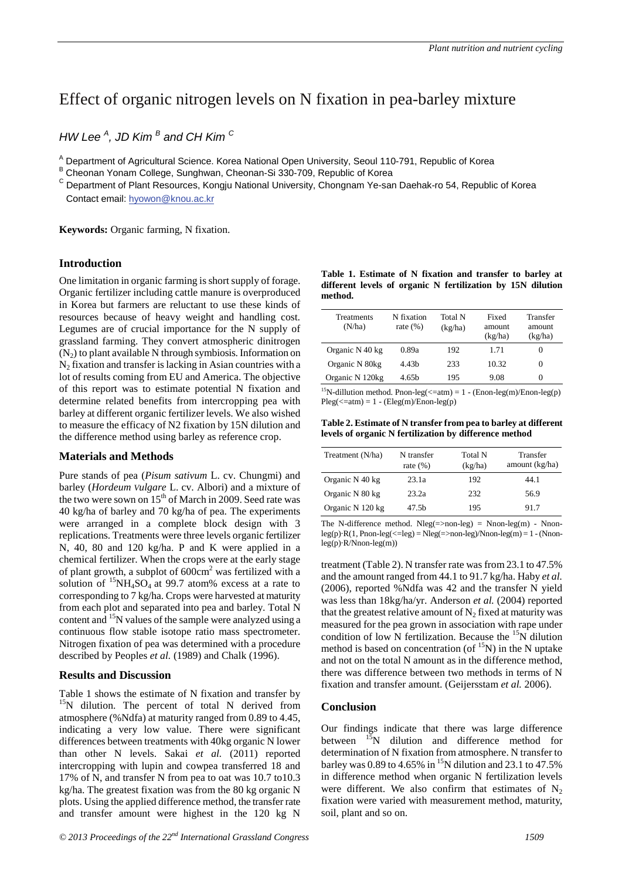## Effect of organic nitrogen levels on N fixation in pea-barley mixture

*HW Lee <sup>A</sup> , JD Kim <sup>B</sup> and CH Kim C* 

<sup>A</sup> Department of Agricultural Science. Korea National Open University, Seoul 110-791, Republic of Korea B Cheonan Yonam College, Sunghwan, Cheonan-Si 330-709, Republic of Korea

<sup>C</sup> Department of Plant Resources, Kongju National University, Chongnam Ye-san Daehak-ro 54, Republic of Korea Contact email: hyowon@knou.ac.kr

**Keywords:** Organic farming, N fixation.

### **Introduction**

One limitation in organic farming is short supply of forage. Organic fertilizer including cattle manure is overproduced in Korea but farmers are reluctant to use these kinds of resources because of heavy weight and handling cost. Legumes are of crucial importance for the N supply of grassland farming. They convert atmospheric dinitrogen  $(N_2)$  to plant available N through symbiosis. Information on  $N_2$  fixation and transfer is lacking in Asian countries with a lot of results coming from EU and America. The objective of this report was to estimate potential N fixation and determine related benefits from intercropping pea with barley at different organic fertilizer levels. We also wished to measure the efficacy of N2 fixation by 15N dilution and the difference method using barley as reference crop.

### **Materials and Methods**

Pure stands of pea (*Pisum sativum* L. cv. Chungmi) and barley (*Hordeum Vulgare* L. cv. Albori) and a mixture of the two were sown on  $15<sup>th</sup>$  of March in 2009. Seed rate was 40 kg/ha of barley and 70 kg/ha of pea. The experiments were arranged in a complete block design with 3 replications. Treatments were three levels organic fertilizer N, 40, 80 and 120 kg/ha. P and K were applied in a chemical fertilizer. When the crops were at the early stage of plant growth, a subplot of  $600 \text{cm}^2$  was fertilized with a solution of  ${}^{15}NH_4SO_4$  at 99.7 atom% excess at a rate to corresponding to 7 kg/ha. Crops were harvested at maturity from each plot and separated into pea and barley. Total N content and 15N values of the sample were analyzed using a continuous flow stable isotope ratio mass spectrometer. Nitrogen fixation of pea was determined with a procedure described by Peoples *et al.* (1989) and Chalk (1996).

### **Results and Discussion**

Table 1 shows the estimate of N fixation and transfer by  $15N$  dilution. The percent of total N derived from atmosphere (%Ndfa) at maturity ranged from 0.89 to 4.45, indicating a very low value. There were significant differences between treatments with 40kg organic N lower than other N levels. Sakai *et al.* (2011) reported intercropping with lupin and cowpea transferred 18 and 17% of N, and transfer N from pea to oat was 10.7 to10.3 kg/ha. The greatest fixation was from the 80 kg organic N plots. Using the applied difference method, the transfer rate and transfer amount were highest in the 120 kg N

|         |  | Table 1. Estimate of N fixation and transfer to barley at   |  |  |
|---------|--|-------------------------------------------------------------|--|--|
|         |  | different levels of organic N fertilization by 15N dilution |  |  |
| method. |  |                                                             |  |  |

| Treatments<br>(N/ha) | N fixation<br>rate $(\%)$ | Total N<br>(kg/ha) | Fixed<br>amount<br>(kg/ha) | Transfer<br>amount<br>(kg/ha) |
|----------------------|---------------------------|--------------------|----------------------------|-------------------------------|
| Organic N 40 kg      | 0.89a                     | 192                | 1.71                       |                               |
| Organic N 80kg       | 4.43 <sub>h</sub>         | 233                | 10.32                      | 0                             |
| Organic N 120kg      | 4.65 <sub>h</sub>         | 195                | 9.08                       | 0                             |

<sup>15</sup>N-dillution method. Pnon-leg( $\leq$ =atm) = 1 - (Enon-leg(m)/Enon-leg(p)  $Pleg(\leq=atm) = 1 - (Eleg(m)/Enon-leg(p))$ 

**Table 2. Estimate of N transfer from pea to barley at different levels of organic N fertilization by difference method**

| Treatment (N/ha) | N transfer<br>rate $(\%)$ | Total N<br>(kg/ha) | Transfer<br>amount (kg/ha) |
|------------------|---------------------------|--------------------|----------------------------|
| Organic N 40 kg  | 23.1a                     | 192                | 44.1                       |
| Organic N 80 kg  | 23.2a                     | 232                | 56.9                       |
| Organic N 120 kg | 47.5 <sub>b</sub>         | 195                | 91.7                       |

The N-difference method. Nleg(=>non-leg) = Nnon-leg(m) - Nnon $leg(p) \cdot R(1, Pnon-leg(\leq=leg) = Nleg(\leq=non-leg)/Nnon-leg(m) = 1 - (Nnon-eg(m)))$ leg(p)·R/Nnon-leg(m))

treatment (Table 2). N transfer rate was from 23.1 to 47.5% and the amount ranged from 44.1 to 91.7 kg/ha. Haby *et al.* (2006), reported %Ndfa was 42 and the transfer N yield was less than 18kg/ha/yr. Anderson *et al.* (2004) reported that the greatest relative amount of  $N<sub>2</sub>$  fixed at maturity was measured for the pea grown in association with rape under condition of low N fertilization. Because the  ${}^{15}N$  dilution method is based on concentration (of  $^{15}N$ ) in the N uptake and not on the total N amount as in the difference method, there was difference between two methods in terms of N fixation and transfer amount. (Geijersstam *et al.* 2006).

### **Conclusion**

Our findings indicate that there was large difference between  $^{15}$ N dilution and difference method for determination of N fixation from atmosphere. N transfer to barley was 0.89 to 4.65% in <sup>15</sup>N dilution and 23.1 to 47.5% in difference method when organic N fertilization levels were different. We also confirm that estimates of  $N<sub>2</sub>$ fixation were varied with measurement method, maturity, soil, plant and so on.